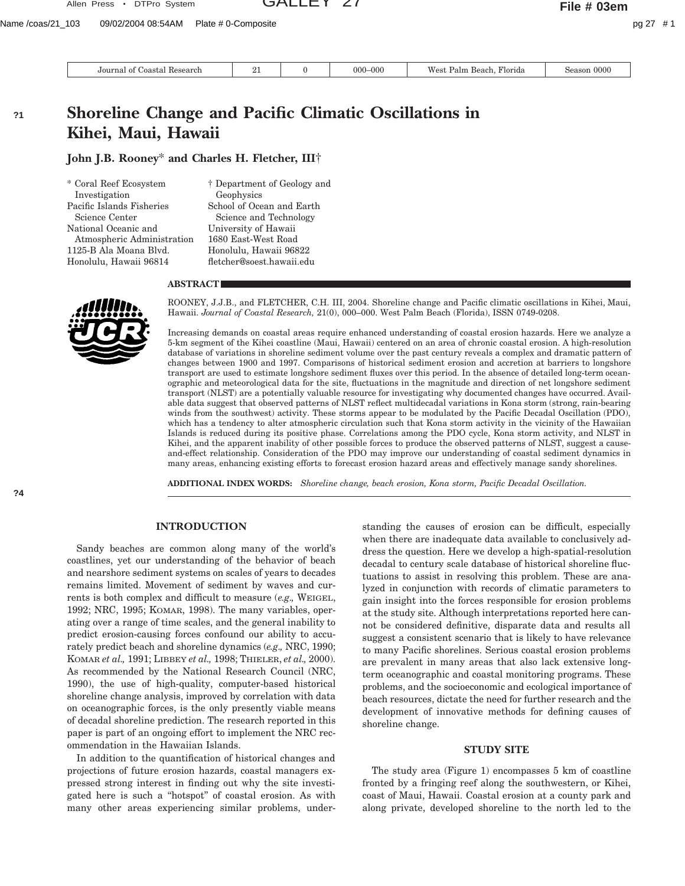Journal of Coastal Research  $\begin{vmatrix} 21 & 0 & 000-000 \end{vmatrix}$  West Palm Beach, Florida Season 0000

# **Shoreline Change and Pacific Climatic Oscillations in Kihei, Maui, Hawaii**

**John J.B. Rooney**\* **and Charles H. Fletcher, III**†

\* Coral Reef Ecosystem Investigation Pacific Islands Fisheries Science Center National Oceanic and Atmospheric Administration 1125-B Ala Moana Blvd. Honolulu, Hawaii 96814

† Department of Geology and Geophysics School of Ocean and Earth Science and Technology University of Hawaii 1680 East-West Road Honolulu, Hawaii 96822 fletcher@soest.hawaii.edu

## **ABSTRACT**



ROONEY, J.J.B., and FLETCHER, C.H. III, 2004. Shoreline change and Pacific climatic oscillations in Kihei, Maui, Hawaii. *Journal of Coastal Research,* 21(0), 000–000. West Palm Beach (Florida), ISSN 0749-0208.

Increasing demands on coastal areas require enhanced understanding of coastal erosion hazards. Here we analyze a 5-km segment of the Kihei coastline (Maui, Hawaii) centered on an area of chronic coastal erosion. A high-resolution database of variations in shoreline sediment volume over the past century reveals a complex and dramatic pattern of changes between 1900 and 1997. Comparisons of historical sediment erosion and accretion at barriers to longshore transport are used to estimate longshore sediment fluxes over this period. In the absence of detailed long-term oceanographic and meteorological data for the site, fluctuations in the magnitude and direction of net longshore sediment transport (NLST) are a potentially valuable resource for investigating why documented changes have occurred. Available data suggest that observed patterns of NLST reflect multidecadal variations in Kona storm (strong, rain-bearing winds from the southwest) activity. These storms appear to be modulated by the Pacific Decadal Oscillation (PDO), which has a tendency to alter atmospheric circulation such that Kona storm activity in the vicinity of the Hawaiian Islands is reduced during its positive phase. Correlations among the PDO cycle, Kona storm activity, and NLST in Kihei, and the apparent inability of other possible forces to produce the observed patterns of NLST, suggest a causeand-effect relationship. Consideration of the PDO may improve our understanding of coastal sediment dynamics in many areas, enhancing existing efforts to forecast erosion hazard areas and effectively manage sandy shorelines.

**ADDITIONAL INDEX WORDS:** *Shoreline change, beach erosion, Kona storm, Pacific Decadal Oscillation.*

# **INTRODUCTION**

Sandy beaches are common along many of the world's coastlines, yet our understanding of the behavior of beach and nearshore sediment systems on scales of years to decades remains limited. Movement of sediment by waves and currents is both complex and difficult to measure (*e.g.,* WEIGEL, 1992; NRC, 1995; KOMAR, 1998). The many variables, operating over a range of time scales, and the general inability to predict erosion-causing forces confound our ability to accurately predict beach and shoreline dynamics (*e.g.,* NRC, 1990; KOMAR *et al.,* 1991; LIBBEY *et al.,* 1998; THIELER, *et al.,* 2000). As recommended by the National Research Council (NRC, 1990), the use of high-quality, computer-based historical shoreline change analysis, improved by correlation with data on oceanographic forces, is the only presently viable means of decadal shoreline prediction. The research reported in this paper is part of an ongoing effort to implement the NRC recommendation in the Hawaiian Islands.

In addition to the quantification of historical changes and projections of future erosion hazards, coastal managers expressed strong interest in finding out why the site investigated here is such a ''hotspot'' of coastal erosion. As with many other areas experiencing similar problems, understanding the causes of erosion can be difficult, especially when there are inadequate data available to conclusively address the question. Here we develop a high-spatial-resolution decadal to century scale database of historical shoreline fluctuations to assist in resolving this problem. These are analyzed in conjunction with records of climatic parameters to gain insight into the forces responsible for erosion problems at the study site. Although interpretations reported here cannot be considered definitive, disparate data and results all suggest a consistent scenario that is likely to have relevance to many Pacific shorelines. Serious coastal erosion problems are prevalent in many areas that also lack extensive longterm oceanographic and coastal monitoring programs. These problems, and the socioeconomic and ecological importance of beach resources, dictate the need for further research and the development of innovative methods for defining causes of shoreline change.

#### **STUDY SITE**

The study area (Figure 1) encompasses 5 km of coastline fronted by a fringing reef along the southwestern, or Kihei, coast of Maui, Hawaii. Coastal erosion at a county park and along private, developed shoreline to the north led to the

**?1**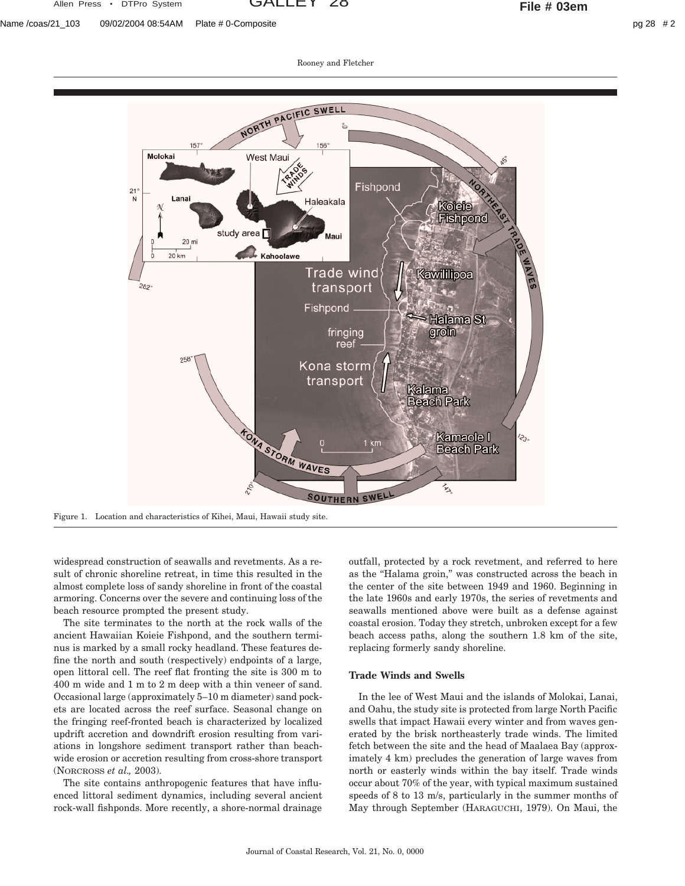Allen Press • DTPro System GALLEY 28 **File # 03em**

Rooney and Fletcher



Figure 1. Location and characteristics of Kihei, Maui, Hawaii study site.

widespread construction of seawalls and revetments. As a result of chronic shoreline retreat, in time this resulted in the almost complete loss of sandy shoreline in front of the coastal armoring. Concerns over the severe and continuing loss of the beach resource prompted the present study.

The site terminates to the north at the rock walls of the ancient Hawaiian Koieie Fishpond, and the southern terminus is marked by a small rocky headland. These features define the north and south (respectively) endpoints of a large, open littoral cell. The reef flat fronting the site is 300 m to 400 m wide and 1 m to 2 m deep with a thin veneer of sand. Occasional large (approximately 5–10 m diameter) sand pockets are located across the reef surface. Seasonal change on the fringing reef-fronted beach is characterized by localized updrift accretion and downdrift erosion resulting from variations in longshore sediment transport rather than beachwide erosion or accretion resulting from cross-shore transport (NORCROSS *et al.,* 2003).

The site contains anthropogenic features that have influenced littoral sediment dynamics, including several ancient rock-wall fishponds. More recently, a shore-normal drainage

outfall, protected by a rock revetment, and referred to here as the ''Halama groin,'' was constructed across the beach in the center of the site between 1949 and 1960. Beginning in the late 1960s and early 1970s, the series of revetments and seawalls mentioned above were built as a defense against coastal erosion. Today they stretch, unbroken except for a few beach access paths, along the southern 1.8 km of the site, replacing formerly sandy shoreline.

# **Trade Winds and Swells**

In the lee of West Maui and the islands of Molokai, Lanai, and Oahu, the study site is protected from large North Pacific swells that impact Hawaii every winter and from waves generated by the brisk northeasterly trade winds. The limited fetch between the site and the head of Maalaea Bay (approximately 4 km) precludes the generation of large waves from north or easterly winds within the bay itself. Trade winds occur about 70% of the year, with typical maximum sustained speeds of 8 to 13 m/s, particularly in the summer months of May through September (HARAGUCHI, 1979). On Maui, the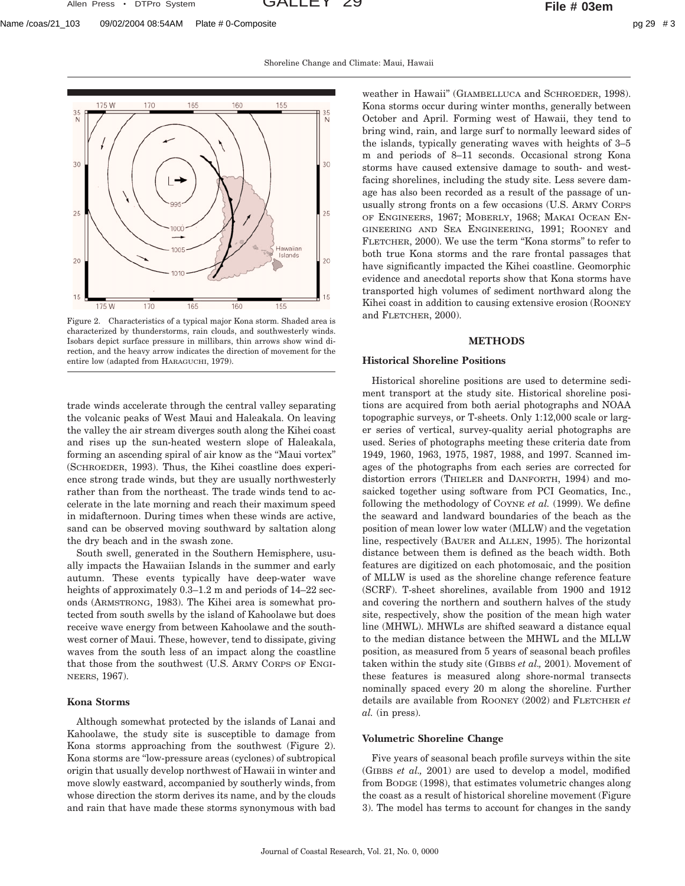Allen Press • DTPro System GALLEY 29 **File # 03em**

Shoreline Change and Climate: Maui, Hawaii



Figure 2. Characteristics of a typical major Kona storm. Shaded area is characterized by thunderstorms, rain clouds, and southwesterly winds. Isobars depict surface pressure in millibars, thin arrows show wind direction, and the heavy arrow indicates the direction of movement for the entire low (adapted from HARAGUCHI, 1979).

trade winds accelerate through the central valley separating the volcanic peaks of West Maui and Haleakala. On leaving the valley the air stream diverges south along the Kihei coast and rises up the sun-heated western slope of Haleakala, forming an ascending spiral of air know as the ''Maui vortex'' (SCHROEDER, 1993). Thus, the Kihei coastline does experience strong trade winds, but they are usually northwesterly rather than from the northeast. The trade winds tend to accelerate in the late morning and reach their maximum speed in midafternoon. During times when these winds are active, sand can be observed moving southward by saltation along the dry beach and in the swash zone.

South swell, generated in the Southern Hemisphere, usually impacts the Hawaiian Islands in the summer and early autumn. These events typically have deep-water wave heights of approximately 0.3–1.2 m and periods of  $14-22$  seconds (ARMSTRONG, 1983). The Kihei area is somewhat protected from south swells by the island of Kahoolawe but does receive wave energy from between Kahoolawe and the southwest corner of Maui. These, however, tend to dissipate, giving waves from the south less of an impact along the coastline that those from the southwest (U.S. ARMY CORPS OF ENGI-NEERS, 1967).

# **Kona Storms**

Although somewhat protected by the islands of Lanai and Kahoolawe, the study site is susceptible to damage from Kona storms approaching from the southwest (Figure 2). Kona storms are ''low-pressure areas (cyclones) of subtropical origin that usually develop northwest of Hawaii in winter and move slowly eastward, accompanied by southerly winds, from whose direction the storm derives its name, and by the clouds and rain that have made these storms synonymous with bad

weather in Hawaii'' (GIAMBELLUCA and SCHROEDER, 1998). Kona storms occur during winter months, generally between October and April. Forming west of Hawaii, they tend to bring wind, rain, and large surf to normally leeward sides of the islands, typically generating waves with heights of 3–5 m and periods of 8–11 seconds. Occasional strong Kona storms have caused extensive damage to south- and westfacing shorelines, including the study site. Less severe damage has also been recorded as a result of the passage of unusually strong fronts on a few occasions (U.S. ARMY CORPS OF ENGINEERS, 1967; MOBERLY, 1968; MAKAI OCEAN EN-GINEERING AND SEA ENGINEERING, 1991; ROONEY and FLETCHER, 2000). We use the term ''Kona storms'' to refer to both true Kona storms and the rare frontal passages that have significantly impacted the Kihei coastline. Geomorphic evidence and anecdotal reports show that Kona storms have transported high volumes of sediment northward along the Kihei coast in addition to causing extensive erosion (ROONEY and FLETCHER, 2000).

#### **METHODS**

#### **Historical Shoreline Positions**

Historical shoreline positions are used to determine sediment transport at the study site. Historical shoreline positions are acquired from both aerial photographs and NOAA topographic surveys, or T-sheets. Only 1:12,000 scale or larger series of vertical, survey-quality aerial photographs are used. Series of photographs meeting these criteria date from 1949, 1960, 1963, 1975, 1987, 1988, and 1997. Scanned images of the photographs from each series are corrected for distortion errors (THIELER and DANFORTH, 1994) and mosaicked together using software from PCI Geomatics, Inc., following the methodology of COYNE *et al.* (1999). We define the seaward and landward boundaries of the beach as the position of mean lower low water (MLLW) and the vegetation line, respectively (BAUER and ALLEN, 1995). The horizontal distance between them is defined as the beach width. Both features are digitized on each photomosaic, and the position of MLLW is used as the shoreline change reference feature (SCRF). T-sheet shorelines, available from 1900 and 1912 and covering the northern and southern halves of the study site, respectively, show the position of the mean high water line (MHWL). MHWLs are shifted seaward a distance equal to the median distance between the MHWL and the MLLW position, as measured from 5 years of seasonal beach profiles taken within the study site (GIBBS *et al.,* 2001). Movement of these features is measured along shore-normal transects nominally spaced every 20 m along the shoreline. Further details are available from ROONEY (2002) and FLETCHER *et al.* (in press).

# **Volumetric Shoreline Change**

Five years of seasonal beach profile surveys within the site (GIBBS *et al.,* 2001) are used to develop a model, modified from BODGE (1998), that estimates volumetric changes along the coast as a result of historical shoreline movement (Figure 3). The model has terms to account for changes in the sandy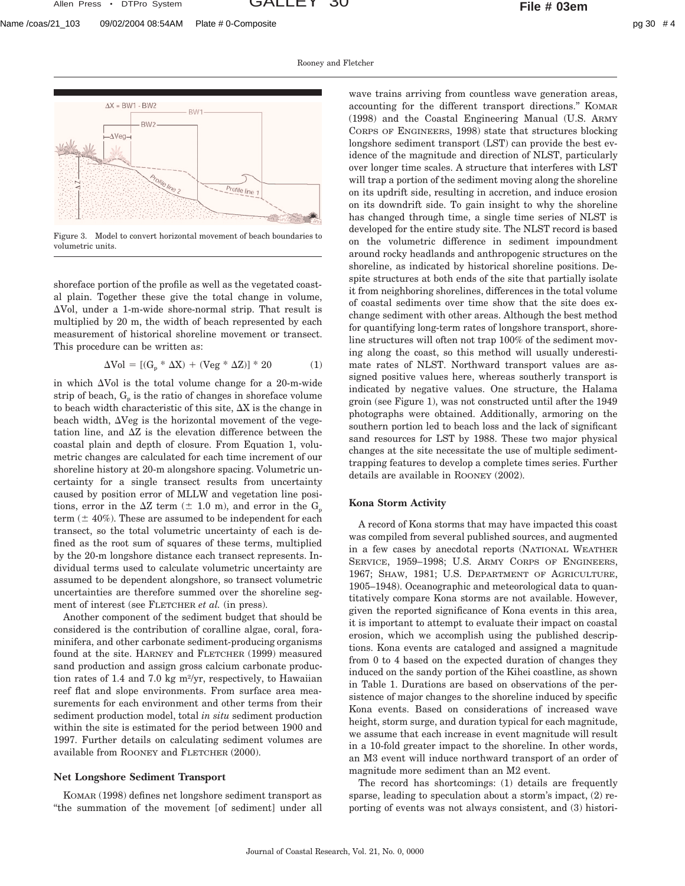Rooney and Fletcher





Figure 3. Model to convert horizontal movement of beach boundaries to volumetric units.

shoreface portion of the profile as well as the vegetated coastal plain. Together these give the total change in volume,  $\Delta$ Vol, under a 1-m-wide shore-normal strip. That result is multiplied by 20 m, the width of beach represented by each measurement of historical shoreline movement or transect. This procedure can be written as:

$$
\Delta \text{Vol} = \left[ (G_p * \Delta X) + (\text{Veg} * \Delta Z) \right] * 20 \tag{1}
$$

in which  $\Delta$ Vol is the total volume change for a 20-m-wide strip of beach,  $G_p$  is the ratio of changes in shoreface volume to beach width characteristic of this site,  $\Delta X$  is the change in beach width,  $\Delta V$ eg is the horizontal movement of the vegetation line, and  $\Delta Z$  is the elevation difference between the coastal plain and depth of closure. From Equation 1, volumetric changes are calculated for each time increment of our shoreline history at 20-m alongshore spacing. Volumetric uncertainty for a single transect results from uncertainty caused by position error of MLLW and vegetation line positions, error in the  $\Delta Z$  term ( $\pm$  1.0 m), and error in the G<sub>p</sub> term  $(\pm 40\%)$ . These are assumed to be independent for each transect, so the total volumetric uncertainty of each is defined as the root sum of squares of these terms, multiplied by the 20-m longshore distance each transect represents. Individual terms used to calculate volumetric uncertainty are assumed to be dependent alongshore, so transect volumetric uncertainties are therefore summed over the shoreline segment of interest (see FLETCHER *et al.* (in press).

Another component of the sediment budget that should be considered is the contribution of coralline algae, coral, foraminifera, and other carbonate sediment-producing organisms found at the site. HARNEY and FLETCHER (1999) measured sand production and assign gross calcium carbonate production rates of 1.4 and 7.0 kg m<sup>2</sup>/yr, respectively, to Hawaiian reef flat and slope environments. From surface area measurements for each environment and other terms from their sediment production model, total *in situ* sediment production within the site is estimated for the period between 1900 and 1997. Further details on calculating sediment volumes are available from ROONEY and FLETCHER (2000).

## **Net Longshore Sediment Transport**

KOMAR (1998) defines net longshore sediment transport as ''the summation of the movement [of sediment] under all wave trains arriving from countless wave generation areas, accounting for the different transport directions.'' KOMAR (1998) and the Coastal Engineering Manual (U.S. ARMY CORPS OF ENGINEERS, 1998) state that structures blocking longshore sediment transport (LST) can provide the best evidence of the magnitude and direction of NLST, particularly over longer time scales. A structure that interferes with LST will trap a portion of the sediment moving along the shoreline on its updrift side, resulting in accretion, and induce erosion on its downdrift side. To gain insight to why the shoreline has changed through time, a single time series of NLST is developed for the entire study site. The NLST record is based on the volumetric difference in sediment impoundment around rocky headlands and anthropogenic structures on the shoreline, as indicated by historical shoreline positions. Despite structures at both ends of the site that partially isolate it from neighboring shorelines, differences in the total volume of coastal sediments over time show that the site does exchange sediment with other areas. Although the best method for quantifying long-term rates of longshore transport, shoreline structures will often not trap 100% of the sediment moving along the coast, so this method will usually underestimate rates of NLST. Northward transport values are assigned positive values here, whereas southerly transport is indicated by negative values. One structure, the Halama groin (see Figure 1), was not constructed until after the 1949 photographs were obtained. Additionally, armoring on the southern portion led to beach loss and the lack of significant sand resources for LST by 1988. These two major physical changes at the site necessitate the use of multiple sedimenttrapping features to develop a complete times series. Further details are available in ROONEY (2002).

# **Kona Storm Activity**

A record of Kona storms that may have impacted this coast was compiled from several published sources, and augmented in a few cases by anecdotal reports (NATIONAL WEATHER SERVICE, 1959–1998; U.S. ARMY CORPS OF ENGINEERS, 1967; SHAW, 1981; U.S. DEPARTMENT OF AGRICULTURE, 1905–1948). Oceanographic and meteorological data to quantitatively compare Kona storms are not available. However, given the reported significance of Kona events in this area, it is important to attempt to evaluate their impact on coastal erosion, which we accomplish using the published descriptions. Kona events are cataloged and assigned a magnitude from 0 to 4 based on the expected duration of changes they induced on the sandy portion of the Kihei coastline, as shown in Table 1. Durations are based on observations of the persistence of major changes to the shoreline induced by specific Kona events. Based on considerations of increased wave height, storm surge, and duration typical for each magnitude, we assume that each increase in event magnitude will result in a 10-fold greater impact to the shoreline. In other words, an M3 event will induce northward transport of an order of magnitude more sediment than an M2 event.

The record has shortcomings: (1) details are frequently sparse, leading to speculation about a storm's impact, (2) reporting of events was not always consistent, and (3) histori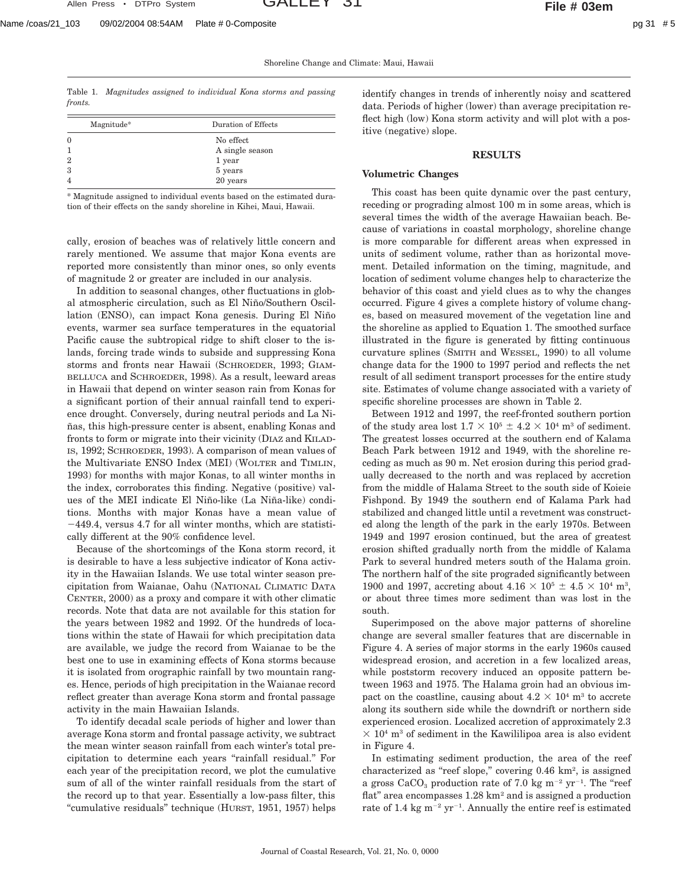Shoreline Change and Climate: Maui, Hawaii

Table 1. *Magnitudes assigned to individual Kona storms and passing fronts.*

| Magnitude*     | Duration of Effects |
|----------------|---------------------|
| $\mathbf{0}$   | No effect           |
|                | A single season     |
| $\overline{2}$ | 1 year              |
| 3              | 5 years             |
| $\overline{4}$ | 20 years            |

\* Magnitude assigned to individual events based on the estimated duration of their effects on the sandy shoreline in Kihei, Maui, Hawaii.

cally, erosion of beaches was of relatively little concern and rarely mentioned. We assume that major Kona events are reported more consistently than minor ones, so only events of magnitude 2 or greater are included in our analysis.

In addition to seasonal changes, other fluctuations in global atmospheric circulation, such as El Niño/Southern Oscillation (ENSO), can impact Kona genesis. During El Niño events, warmer sea surface temperatures in the equatorial Pacific cause the subtropical ridge to shift closer to the islands, forcing trade winds to subside and suppressing Kona storms and fronts near Hawaii (SCHROEDER, 1993; GIAM-BELLUCA and SCHROEDER, 1998). As a result, leeward areas in Hawaii that depend on winter season rain from Konas for a significant portion of their annual rainfall tend to experience drought. Conversely, during neutral periods and La Niñas, this high-pressure center is absent, enabling Konas and fronts to form or migrate into their vicinity (DIAZ and KILAD-IS, 1992; SCHROEDER, 1993). A comparison of mean values of the Multivariate ENSO Index (MEI) (WOLTER and TIMLIN, 1993) for months with major Konas, to all winter months in the index, corroborates this finding. Negative (positive) values of the MEI indicate El Niño-like (La Niña-like) conditions. Months with major Konas have a mean value of  $-449.4$ , versus 4.7 for all winter months, which are statistically different at the 90% confidence level.

Because of the shortcomings of the Kona storm record, it is desirable to have a less subjective indicator of Kona activity in the Hawaiian Islands. We use total winter season precipitation from Waianae, Oahu (NATIONAL CLIMATIC DATA CENTER, 2000) as a proxy and compare it with other climatic records. Note that data are not available for this station for the years between 1982 and 1992. Of the hundreds of locations within the state of Hawaii for which precipitation data are available, we judge the record from Waianae to be the best one to use in examining effects of Kona storms because it is isolated from orographic rainfall by two mountain ranges. Hence, periods of high precipitation in the Waianae record reflect greater than average Kona storm and frontal passage activity in the main Hawaiian Islands.

To identify decadal scale periods of higher and lower than average Kona storm and frontal passage activity, we subtract the mean winter season rainfall from each winter's total precipitation to determine each years ''rainfall residual.'' For each year of the precipitation record, we plot the cumulative sum of all of the winter rainfall residuals from the start of the record up to that year. Essentially a low-pass filter, this "cumulative residuals" technique (HURST, 1951, 1957) helps identify changes in trends of inherently noisy and scattered data. Periods of higher (lower) than average precipitation reflect high (low) Kona storm activity and will plot with a positive (negative) slope.

## **RESULTS**

#### **Volumetric Changes**

This coast has been quite dynamic over the past century, receding or prograding almost 100 m in some areas, which is several times the width of the average Hawaiian beach. Because of variations in coastal morphology, shoreline change is more comparable for different areas when expressed in units of sediment volume, rather than as horizontal movement. Detailed information on the timing, magnitude, and location of sediment volume changes help to characterize the behavior of this coast and yield clues as to why the changes occurred. Figure 4 gives a complete history of volume changes, based on measured movement of the vegetation line and the shoreline as applied to Equation 1. The smoothed surface illustrated in the figure is generated by fitting continuous curvature splines (SMITH and WESSEL, 1990) to all volume change data for the 1900 to 1997 period and reflects the net result of all sediment transport processes for the entire study site. Estimates of volume change associated with a variety of specific shoreline processes are shown in Table 2.

Between 1912 and 1997, the reef-fronted southern portion of the study area lost  $1.7 \times 10^5 \pm 4.2 \times 10^4$  m<sup>3</sup> of sediment. The greatest losses occurred at the southern end of Kalama Beach Park between 1912 and 1949, with the shoreline receding as much as 90 m. Net erosion during this period gradually decreased to the north and was replaced by accretion from the middle of Halama Street to the south side of Koieie Fishpond. By 1949 the southern end of Kalama Park had stabilized and changed little until a revetment was constructed along the length of the park in the early 1970s. Between 1949 and 1997 erosion continued, but the area of greatest erosion shifted gradually north from the middle of Kalama Park to several hundred meters south of the Halama groin. The northern half of the site prograded significantly between 1900 and 1997, accreting about  $4.16 \times 10^5 \pm 4.5 \times 10^4$  m<sup>3</sup>, or about three times more sediment than was lost in the south.

Superimposed on the above major patterns of shoreline change are several smaller features that are discernable in Figure 4. A series of major storms in the early 1960s caused widespread erosion, and accretion in a few localized areas, while poststorm recovery induced an opposite pattern between 1963 and 1975. The Halama groin had an obvious impact on the coastline, causing about  $4.2 \times 10^4$  m<sup>3</sup> to accrete along its southern side while the downdrift or northern side experienced erosion. Localized accretion of approximately 2.3  $\times$  10<sup>4</sup> m<sup>3</sup> of sediment in the Kawililipoa area is also evident in Figure 4.

In estimating sediment production, the area of the reef characterized as ''reef slope,'' covering 0.46 km2, is assigned a gross  $CaCO<sub>3</sub>$  production rate of 7.0 kg m<sup>-2</sup> yr<sup>-1</sup>. The "reef" flat" area encompasses  $1.28 \text{ km}^2$  and is assigned a production rate of 1.4 kg  $m^{-2}$  yr<sup>-1</sup>. Annually the entire reef is estimated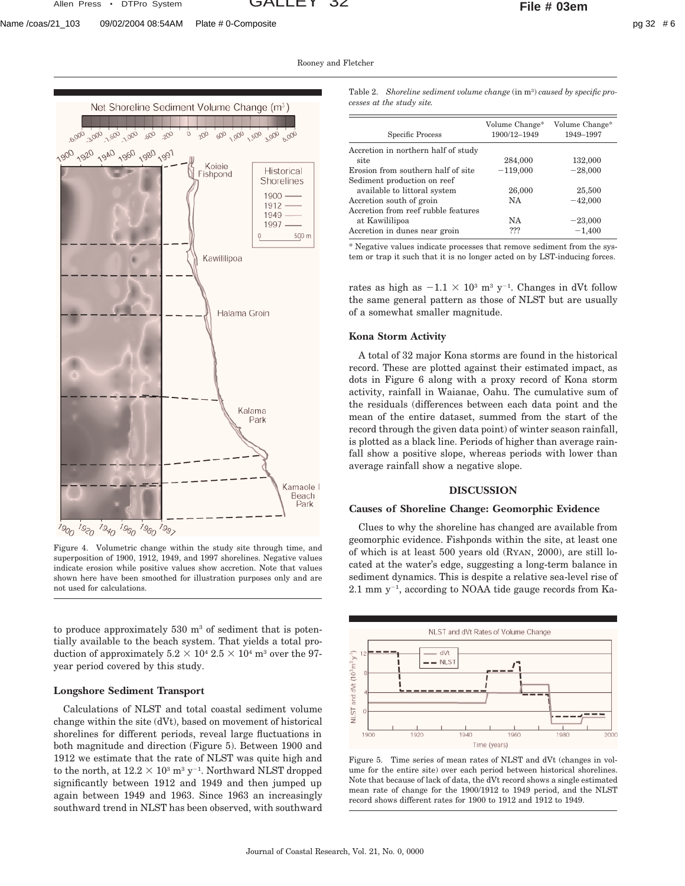Rooney and Fletcher





Figure 4. Volumetric change within the study site through time, and superposition of 1900, 1912, 1949, and 1997 shorelines. Negative values indicate erosion while positive values show accretion. Note that values shown here have been smoothed for illustration purposes only and are not used for calculations.

to produce approximately  $530 \text{ m}^3$  of sediment that is potentially available to the beach system. That yields a total production of approximately  $5.2 \times 10^4$   $2.5 \times 10^4$  m<sup>3</sup> over the 97year period covered by this study.

## **Longshore Sediment Transport**

Calculations of NLST and total coastal sediment volume change within the site (dVt), based on movement of historical shorelines for different periods, reveal large fluctuations in both magnitude and direction (Figure 5). Between 1900 and 1912 we estimate that the rate of NLST was quite high and to the north, at  $12.2 \times 10^3$  m<sup>3</sup> y<sup>-1</sup>. Northward NLST dropped significantly between 1912 and 1949 and then jumped up again between 1949 and 1963. Since 1963 an increasingly southward trend in NLST has been observed, with southward

Table 2. *Shoreline sediment volume change* (in m3) *caused by specific processes at the study site.*

| Specific Process                            | Volume Change*<br>1900/12-1949 | Volume Change*<br>1949-1997 |
|---------------------------------------------|--------------------------------|-----------------------------|
| Accretion in northern half of study<br>site | 284,000                        | 132,000                     |
| Erosion from southern half of site          | $-119,000$                     | $-28,000$                   |
| Sediment production on reef                 |                                |                             |
| available to littoral system                | 26,000                         | 25,500                      |
| Accretion south of groin                    | NA                             | $-42,000$                   |
| Accretion from reef rubble features         |                                |                             |
| at Kawililipoa                              | NA                             | $-23,000$                   |
| Accretion in dunes near groin               | ???                            | $-1,400$                    |

\* Negative values indicate processes that remove sediment from the system or trap it such that it is no longer acted on by LST-inducing forces.

rates as high as  $-1.1 \times 10^3$  m<sup>3</sup> y<sup>-1</sup>. Changes in dVt follow the same general pattern as those of NLST but are usually of a somewhat smaller magnitude.

## **Kona Storm Activity**

A total of 32 major Kona storms are found in the historical record. These are plotted against their estimated impact, as dots in Figure 6 along with a proxy record of Kona storm activity, rainfall in Waianae, Oahu. The cumulative sum of the residuals (differences between each data point and the mean of the entire dataset, summed from the start of the record through the given data point) of winter season rainfall, is plotted as a black line. Periods of higher than average rainfall show a positive slope, whereas periods with lower than average rainfall show a negative slope.

## **DISCUSSION**

## **Causes of Shoreline Change: Geomorphic Evidence**

Clues to why the shoreline has changed are available from geomorphic evidence. Fishponds within the site, at least one of which is at least 500 years old (RYAN, 2000), are still located at the water's edge, suggesting a long-term balance in sediment dynamics. This is despite a relative sea-level rise of  $2.1$  mm y<sup>-1</sup>, according to NOAA tide gauge records from Ka-



Figure 5. Time series of mean rates of NLST and dVt (changes in volume for the entire site) over each period between historical shorelines. Note that because of lack of data, the dVt record shows a single estimated mean rate of change for the 1900/1912 to 1949 period, and the NLST record shows different rates for 1900 to 1912 and 1912 to 1949.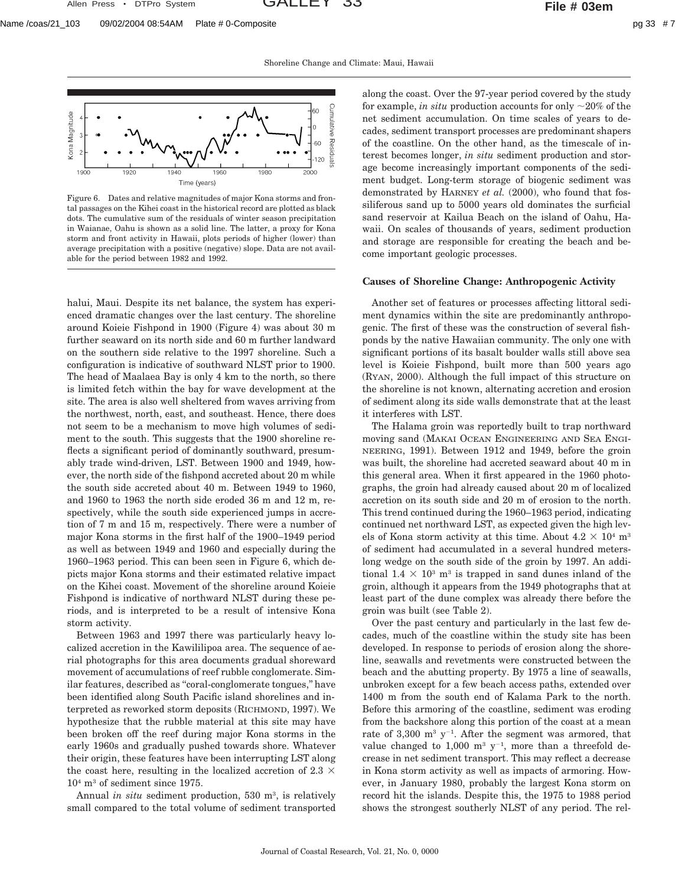Allen Press • DTPro System GALLEY 33 **File # 03em**

Shoreline Change and Climate: Maui, Hawaii



Figure 6. Dates and relative magnitudes of major Kona storms and frontal passages on the Kihei coast in the historical record are plotted as black dots. The cumulative sum of the residuals of winter season precipitation in Waianae, Oahu is shown as a solid line. The latter, a proxy for Kona storm and front activity in Hawaii, plots periods of higher (lower) than average precipitation with a positive (negative) slope. Data are not available for the period between 1982 and 1992.

halui, Maui. Despite its net balance, the system has experienced dramatic changes over the last century. The shoreline around Koieie Fishpond in 1900 (Figure 4) was about 30 m further seaward on its north side and 60 m further landward on the southern side relative to the 1997 shoreline. Such a configuration is indicative of southward NLST prior to 1900. The head of Maalaea Bay is only 4 km to the north, so there is limited fetch within the bay for wave development at the site. The area is also well sheltered from waves arriving from the northwest, north, east, and southeast. Hence, there does not seem to be a mechanism to move high volumes of sediment to the south. This suggests that the 1900 shoreline reflects a significant period of dominantly southward, presumably trade wind-driven, LST. Between 1900 and 1949, however, the north side of the fishpond accreted about 20 m while the south side accreted about 40 m. Between 1949 to 1960, and 1960 to 1963 the north side eroded 36 m and 12 m, respectively, while the south side experienced jumps in accretion of 7 m and 15 m, respectively. There were a number of major Kona storms in the first half of the 1900–1949 period as well as between 1949 and 1960 and especially during the 1960–1963 period. This can been seen in Figure 6, which depicts major Kona storms and their estimated relative impact on the Kihei coast. Movement of the shoreline around Koieie Fishpond is indicative of northward NLST during these periods, and is interpreted to be a result of intensive Kona storm activity.

Between 1963 and 1997 there was particularly heavy localized accretion in the Kawililipoa area. The sequence of aerial photographs for this area documents gradual shoreward movement of accumulations of reef rubble conglomerate. Similar features, described as ''coral-conglomerate tongues,'' have been identified along South Pacific island shorelines and interpreted as reworked storm deposits (RICHMOND, 1997). We hypothesize that the rubble material at this site may have been broken off the reef during major Kona storms in the early 1960s and gradually pushed towards shore. Whatever their origin, these features have been interrupting LST along the coast here, resulting in the localized accretion of 2.3  $\times$  $10<sup>4</sup>$  m<sup>3</sup> of sediment since 1975.

Annual *in situ* sediment production, 530 m<sup>3</sup>, is relatively small compared to the total volume of sediment transported along the coast. Over the 97-year period covered by the study for example, *in situ* production accounts for only  $\sim$ 20% of the net sediment accumulation. On time scales of years to decades, sediment transport processes are predominant shapers of the coastline. On the other hand, as the timescale of interest becomes longer, *in situ* sediment production and storage become increasingly important components of the sediment budget. Long-term storage of biogenic sediment was demonstrated by HARNEY *et al.* (2000), who found that fossiliferous sand up to 5000 years old dominates the surficial sand reservoir at Kailua Beach on the island of Oahu, Hawaii. On scales of thousands of years, sediment production and storage are responsible for creating the beach and become important geologic processes.

#### **Causes of Shoreline Change: Anthropogenic Activity**

Another set of features or processes affecting littoral sediment dynamics within the site are predominantly anthropogenic. The first of these was the construction of several fishponds by the native Hawaiian community. The only one with significant portions of its basalt boulder walls still above sea level is Koieie Fishpond, built more than 500 years ago (RYAN, 2000). Although the full impact of this structure on the shoreline is not known, alternating accretion and erosion of sediment along its side walls demonstrate that at the least it interferes with LST.

The Halama groin was reportedly built to trap northward moving sand (MAKAI OCEAN ENGINEERING AND SEA ENGI-NEERING, 1991). Between 1912 and 1949, before the groin was built, the shoreline had accreted seaward about 40 m in this general area. When it first appeared in the 1960 photographs, the groin had already caused about 20 m of localized accretion on its south side and 20 m of erosion to the north. This trend continued during the 1960–1963 period, indicating continued net northward LST, as expected given the high levels of Kona storm activity at this time. About  $4.2 \times 10^4$  m<sup>3</sup> of sediment had accumulated in a several hundred meterslong wedge on the south side of the groin by 1997. An additional  $1.4 \times 10^3$  m<sup>3</sup> is trapped in sand dunes inland of the groin, although it appears from the 1949 photographs that at least part of the dune complex was already there before the groin was built (see Table 2).

Over the past century and particularly in the last few decades, much of the coastline within the study site has been developed. In response to periods of erosion along the shoreline, seawalls and revetments were constructed between the beach and the abutting property. By 1975 a line of seawalls, unbroken except for a few beach access paths, extended over 1400 m from the south end of Kalama Park to the north. Before this armoring of the coastline, sediment was eroding from the backshore along this portion of the coast at a mean rate of 3,300  $m^3$  y<sup>-1</sup>. After the segment was armored, that value changed to 1,000  $m^3$  y<sup>-1</sup>, more than a threefold decrease in net sediment transport. This may reflect a decrease in Kona storm activity as well as impacts of armoring. However, in January 1980, probably the largest Kona storm on record hit the islands. Despite this, the 1975 to 1988 period shows the strongest southerly NLST of any period. The rel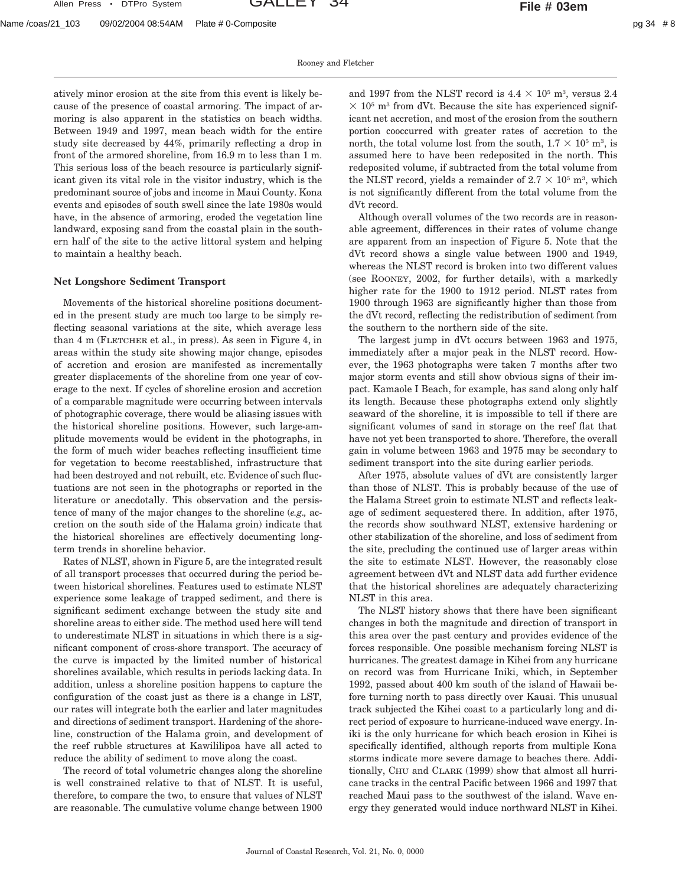Rooney and Fletcher

atively minor erosion at the site from this event is likely because of the presence of coastal armoring. The impact of armoring is also apparent in the statistics on beach widths. Between 1949 and 1997, mean beach width for the entire study site decreased by 44%, primarily reflecting a drop in front of the armored shoreline, from 16.9 m to less than 1 m. This serious loss of the beach resource is particularly significant given its vital role in the visitor industry, which is the predominant source of jobs and income in Maui County. Kona events and episodes of south swell since the late 1980s would have, in the absence of armoring, eroded the vegetation line landward, exposing sand from the coastal plain in the southern half of the site to the active littoral system and helping to maintain a healthy beach.

## **Net Longshore Sediment Transport**

Movements of the historical shoreline positions documented in the present study are much too large to be simply reflecting seasonal variations at the site, which average less than 4 m (FLETCHER et al., in press). As seen in Figure 4, in areas within the study site showing major change, episodes of accretion and erosion are manifested as incrementally greater displacements of the shoreline from one year of coverage to the next. If cycles of shoreline erosion and accretion of a comparable magnitude were occurring between intervals of photographic coverage, there would be aliasing issues with the historical shoreline positions. However, such large-amplitude movements would be evident in the photographs, in the form of much wider beaches reflecting insufficient time for vegetation to become reestablished, infrastructure that had been destroyed and not rebuilt, etc. Evidence of such fluctuations are not seen in the photographs or reported in the literature or anecdotally. This observation and the persistence of many of the major changes to the shoreline (*e.g.,* accretion on the south side of the Halama groin) indicate that the historical shorelines are effectively documenting longterm trends in shoreline behavior.

Rates of NLST, shown in Figure 5, are the integrated result of all transport processes that occurred during the period between historical shorelines. Features used to estimate NLST experience some leakage of trapped sediment, and there is significant sediment exchange between the study site and shoreline areas to either side. The method used here will tend to underestimate NLST in situations in which there is a significant component of cross-shore transport. The accuracy of the curve is impacted by the limited number of historical shorelines available, which results in periods lacking data. In addition, unless a shoreline position happens to capture the configuration of the coast just as there is a change in LST, our rates will integrate both the earlier and later magnitudes and directions of sediment transport. Hardening of the shoreline, construction of the Halama groin, and development of the reef rubble structures at Kawililipoa have all acted to reduce the ability of sediment to move along the coast.

The record of total volumetric changes along the shoreline is well constrained relative to that of NLST. It is useful, therefore, to compare the two, to ensure that values of NLST are reasonable. The cumulative volume change between 1900

and 1997 from the NLST record is  $4.4 \times 10^5$  m<sup>3</sup>, versus 2.4  $\times$  10<sup>5</sup> m<sup>3</sup> from dVt. Because the site has experienced significant net accretion, and most of the erosion from the southern portion cooccurred with greater rates of accretion to the north, the total volume lost from the south,  $1.7 \times 10^5$  m<sup>3</sup>, is assumed here to have been redeposited in the north. This redeposited volume, if subtracted from the total volume from the NLST record, yields a remainder of  $2.7 \times 10^5$  m<sup>3</sup>, which is not significantly different from the total volume from the dVt record.

Although overall volumes of the two records are in reasonable agreement, differences in their rates of volume change are apparent from an inspection of Figure 5. Note that the dVt record shows a single value between 1900 and 1949, whereas the NLST record is broken into two different values (see ROONEY, 2002, for further details), with a markedly higher rate for the 1900 to 1912 period. NLST rates from 1900 through 1963 are significantly higher than those from the dVt record, reflecting the redistribution of sediment from the southern to the northern side of the site.

The largest jump in dVt occurs between 1963 and 1975, immediately after a major peak in the NLST record. However, the 1963 photographs were taken 7 months after two major storm events and still show obvious signs of their impact. Kamaole I Beach, for example, has sand along only half its length. Because these photographs extend only slightly seaward of the shoreline, it is impossible to tell if there are significant volumes of sand in storage on the reef flat that have not yet been transported to shore. Therefore, the overall gain in volume between 1963 and 1975 may be secondary to sediment transport into the site during earlier periods.

After 1975, absolute values of dVt are consistently larger than those of NLST. This is probably because of the use of the Halama Street groin to estimate NLST and reflects leakage of sediment sequestered there. In addition, after 1975, the records show southward NLST, extensive hardening or other stabilization of the shoreline, and loss of sediment from the site, precluding the continued use of larger areas within the site to estimate NLST. However, the reasonably close agreement between dVt and NLST data add further evidence that the historical shorelines are adequately characterizing NLST in this area.

The NLST history shows that there have been significant changes in both the magnitude and direction of transport in this area over the past century and provides evidence of the forces responsible. One possible mechanism forcing NLST is hurricanes. The greatest damage in Kihei from any hurricane on record was from Hurricane Iniki, which, in September 1992, passed about 400 km south of the island of Hawaii before turning north to pass directly over Kauai. This unusual track subjected the Kihei coast to a particularly long and direct period of exposure to hurricane-induced wave energy. Iniki is the only hurricane for which beach erosion in Kihei is specifically identified, although reports from multiple Kona storms indicate more severe damage to beaches there. Additionally, CHU and CLARK (1999) show that almost all hurricane tracks in the central Pacific between 1966 and 1997 that reached Maui pass to the southwest of the island. Wave energy they generated would induce northward NLST in Kihei.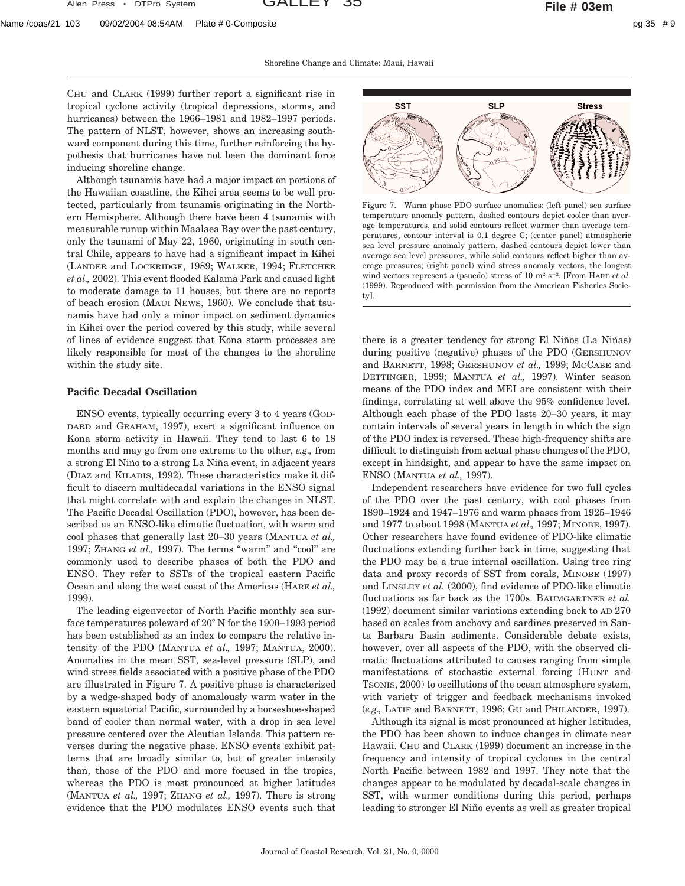Shoreline Change and Climate: Maui, Hawaii

CHU and CLARK (1999) further report a significant rise in tropical cyclone activity (tropical depressions, storms, and hurricanes) between the 1966–1981 and 1982–1997 periods. The pattern of NLST, however, shows an increasing southward component during this time, further reinforcing the hypothesis that hurricanes have not been the dominant force inducing shoreline change.

Although tsunamis have had a major impact on portions of the Hawaiian coastline, the Kihei area seems to be well protected, particularly from tsunamis originating in the Northern Hemisphere. Although there have been 4 tsunamis with measurable runup within Maalaea Bay over the past century, only the tsunami of May 22, 1960, originating in south central Chile, appears to have had a significant impact in Kihei (LANDER and LOCKRIDGE, 1989; WALKER, 1994; FLETCHER *et al.,* 2002). This event flooded Kalama Park and caused light to moderate damage to 11 houses, but there are no reports of beach erosion (MAUI NEWS, 1960). We conclude that tsunamis have had only a minor impact on sediment dynamics in Kihei over the period covered by this study, while several of lines of evidence suggest that Kona storm processes are likely responsible for most of the changes to the shoreline within the study site.

# **Pacific Decadal Oscillation**

ENSO events, typically occurring every 3 to 4 years (GOD-DARD and GRAHAM, 1997), exert a significant influence on Kona storm activity in Hawaii. They tend to last 6 to 18 months and may go from one extreme to the other, *e.g.,* from a strong El Niño to a strong La Niña event, in adjacent years (DIAZ and KILADIS, 1992). These characteristics make it difficult to discern multidecadal variations in the ENSO signal that might correlate with and explain the changes in NLST. The Pacific Decadal Oscillation (PDO), however, has been described as an ENSO-like climatic fluctuation, with warm and cool phases that generally last 20–30 years (MANTUA *et al.,* 1997; ZHANG *et al.*, 1997). The terms "warm" and "cool" are commonly used to describe phases of both the PDO and ENSO. They refer to SSTs of the tropical eastern Pacific Ocean and along the west coast of the Americas (HARE *et al.,* 1999).

The leading eigenvector of North Pacific monthly sea surface temperatures poleward of  $20^{\circ}$  N for the 1900–1993 period has been established as an index to compare the relative intensity of the PDO (MANTUA *et al.,* 1997; MANTUA, 2000). Anomalies in the mean SST, sea-level pressure (SLP), and wind stress fields associated with a positive phase of the PDO are illustrated in Figure 7. A positive phase is characterized by a wedge-shaped body of anomalously warm water in the eastern equatorial Pacific, surrounded by a horseshoe-shaped band of cooler than normal water, with a drop in sea level pressure centered over the Aleutian Islands. This pattern reverses during the negative phase. ENSO events exhibit patterns that are broadly similar to, but of greater intensity than, those of the PDO and more focused in the tropics, whereas the PDO is most pronounced at higher latitudes (MANTUA *et al.,* 1997; ZHANG *et al.,* 1997). There is strong evidence that the PDO modulates ENSO events such that



Figure 7. Warm phase PDO surface anomalies: (left panel) sea surface temperature anomaly pattern, dashed contours depict cooler than average temperatures, and solid contours reflect warmer than average temperatures, contour interval is 0.1 degree C; (center panel) atmospheric sea level pressure anomaly pattern, dashed contours depict lower than average sea level pressures, while solid contours reflect higher than average pressures; (right panel) wind stress anomaly vectors, the longest wind vectors represent a (psuedo) stress of 10  $m^2$  s<sup>-2</sup>. [From HARE *et al.* (1999). Reproduced with permission from the American Fisheries Society].

there is a greater tendency for strong El Niños (La Niñas) during positive (negative) phases of the PDO (GERSHUNOV and BARNETT, 1998; GERSHUNOV *et al.,* 1999; MCCABE and DETTINGER, 1999; MANTUA *et al.,* 1997). Winter season means of the PDO index and MEI are consistent with their findings, correlating at well above the 95% confidence level. Although each phase of the PDO lasts 20–30 years, it may contain intervals of several years in length in which the sign of the PDO index is reversed. These high-frequency shifts are difficult to distinguish from actual phase changes of the PDO, except in hindsight, and appear to have the same impact on ENSO (MANTUA *et al.,* 1997).

Independent researchers have evidence for two full cycles of the PDO over the past century, with cool phases from 1890–1924 and 1947–1976 and warm phases from 1925–1946 and 1977 to about 1998 (MANTUA *et al.,* 1997; MINOBE, 1997). Other researchers have found evidence of PDO-like climatic fluctuations extending further back in time, suggesting that the PDO may be a true internal oscillation. Using tree ring data and proxy records of SST from corals, MINOBE (1997) and LINSLEY *et al.* (2000), find evidence of PDO-like climatic fluctuations as far back as the 1700s. BAUMGARTNER *et al.* (1992) document similar variations extending back to AD 270 based on scales from anchovy and sardines preserved in Santa Barbara Basin sediments. Considerable debate exists, however, over all aspects of the PDO, with the observed climatic fluctuations attributed to causes ranging from simple manifestations of stochastic external forcing (HUNT and TSONIS, 2000) to oscillations of the ocean atmosphere system, with variety of trigger and feedback mechanisms invoked (*e.g.,* LATIF and BARNETT, 1996; GU and PHILANDER, 1997).

Although its signal is most pronounced at higher latitudes, the PDO has been shown to induce changes in climate near Hawaii. CHU and CLARK (1999) document an increase in the frequency and intensity of tropical cyclones in the central North Pacific between 1982 and 1997. They note that the changes appear to be modulated by decadal-scale changes in SST, with warmer conditions during this period, perhaps leading to stronger El Niño events as well as greater tropical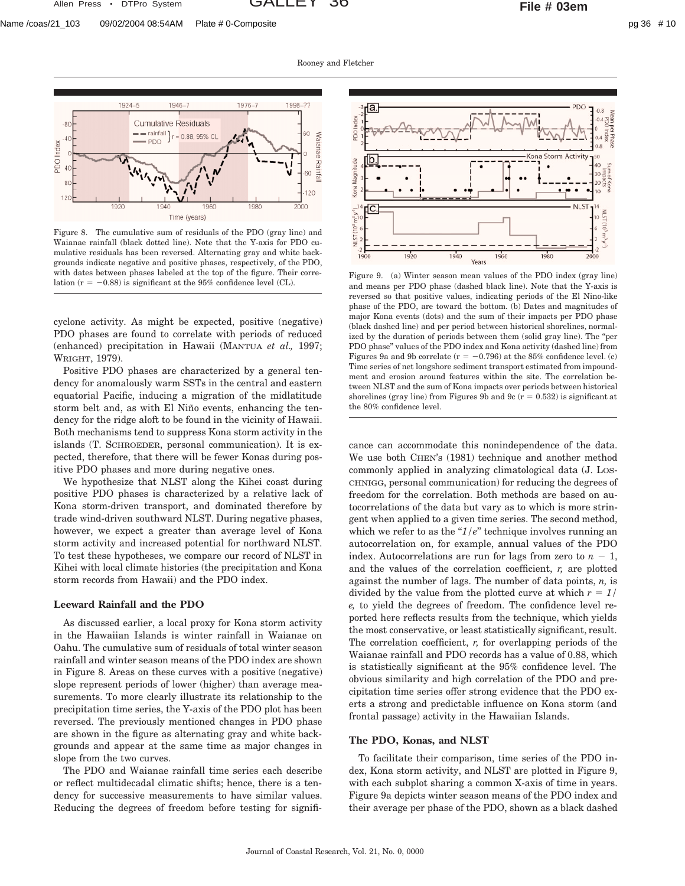Rooney and Fletcher



Figure 8. The cumulative sum of residuals of the PDO (gray line) and Waianae rainfall (black dotted line). Note that the Y-axis for PDO cumulative residuals has been reversed. Alternating gray and white backgrounds indicate negative and positive phases, respectively, of the PDO, with dates between phases labeled at the top of the figure. Their correwith dates between phases labeled at the top of the figure. Their corre-<br>lation  $(r = -0.88)$  is significant at the 95% confidence level (CL).<br>and means per PDO phase (dashed black line). Note that the Y-axis is

cyclone activity. As might be expected, positive (negative) PDO phases are found to correlate with periods of reduced (enhanced) precipitation in Hawaii (MANTUA *et al.,* 1997; WRIGHT, 1979).

Positive PDO phases are characterized by a general tendency for anomalously warm SSTs in the central and eastern equatorial Pacific, inducing a migration of the midlatitude storm belt and, as with El Niño events, enhancing the tendency for the ridge aloft to be found in the vicinity of Hawaii. Both mechanisms tend to suppress Kona storm activity in the islands (T. SCHROEDER, personal communication). It is expected, therefore, that there will be fewer Konas during positive PDO phases and more during negative ones.

We hypothesize that NLST along the Kihei coast during positive PDO phases is characterized by a relative lack of Kona storm-driven transport, and dominated therefore by trade wind-driven southward NLST. During negative phases, however, we expect a greater than average level of Kona storm activity and increased potential for northward NLST. To test these hypotheses, we compare our record of NLST in Kihei with local climate histories (the precipitation and Kona storm records from Hawaii) and the PDO index.

#### **Leeward Rainfall and the PDO**

As discussed earlier, a local proxy for Kona storm activity in the Hawaiian Islands is winter rainfall in Waianae on Oahu. The cumulative sum of residuals of total winter season rainfall and winter season means of the PDO index are shown in Figure 8. Areas on these curves with a positive (negative) slope represent periods of lower (higher) than average measurements. To more clearly illustrate its relationship to the precipitation time series, the Y-axis of the PDO plot has been reversed. The previously mentioned changes in PDO phase are shown in the figure as alternating gray and white backgrounds and appear at the same time as major changes in slope from the two curves.

The PDO and Waianae rainfall time series each describe or reflect multidecadal climatic shifts; hence, there is a tendency for successive measurements to have similar values. Reducing the degrees of freedom before testing for signifi-



and means per PDO phase (dashed black line). Note that the Y-axis is reversed so that positive values, indicating periods of the El Nino-like phase of the PDO, are toward the bottom. (b) Dates and magnitudes of major Kona events (dots) and the sum of their impacts per PDO phase (black dashed line) and per period between historical shorelines, normalized by the duration of periods between them (solid gray line). The "per PDO phase'' values of the PDO index and Kona activity (dashed line) from Figures 9a and 9b correlate ( $r = -0.796$ ) at the 85% confidence level. (c) Time series of net longshore sediment transport estimated from impoundment and erosion around features within the site. The correlation between NLST and the sum of Kona impacts over periods between historical shorelines (gray line) from Figures 9b and 9c ( $r = 0.532$ ) is significant at the 80% confidence level.

cance can accommodate this nonindependence of the data. We use both CHEN's (1981) technique and another method commonly applied in analyzing climatological data (J. LOS-CHNIGG, personal communication) for reducing the degrees of freedom for the correlation. Both methods are based on autocorrelations of the data but vary as to which is more stringent when applied to a given time series. The second method, which we refer to as the  $i$ / $e$ <sup>"</sup> technique involves running an autocorrelation on, for example, annual values of the PDO index. Autocorrelations are run for lags from zero to  $n - 1$ , and the values of the correlation coefficient, *r,* are plotted against the number of lags. The number of data points, *n,* is divided by the value from the plotted curve at which  $r = 1/$ *e,* to yield the degrees of freedom. The confidence level reported here reflects results from the technique, which yields the most conservative, or least statistically significant, result. The correlation coefficient, *r,* for overlapping periods of the Waianae rainfall and PDO records has a value of 0.88, which is statistically significant at the 95% confidence level. The obvious similarity and high correlation of the PDO and precipitation time series offer strong evidence that the PDO exerts a strong and predictable influence on Kona storm (and frontal passage) activity in the Hawaiian Islands.

#### **The PDO, Konas, and NLST**

To facilitate their comparison, time series of the PDO index, Kona storm activity, and NLST are plotted in Figure 9, with each subplot sharing a common X-axis of time in years. Figure 9a depicts winter season means of the PDO index and their average per phase of the PDO, shown as a black dashed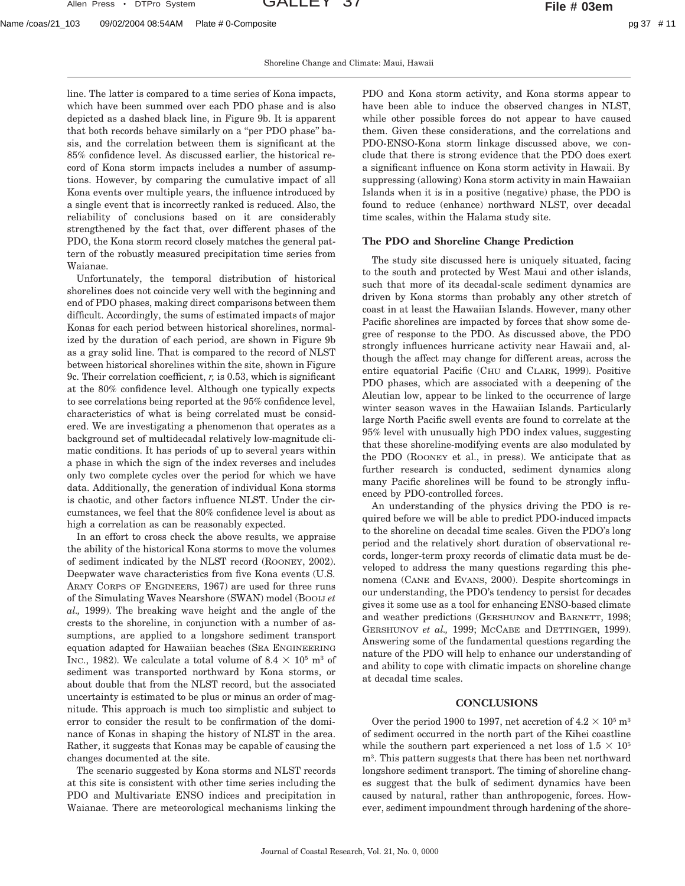Shoreline Change and Climate: Maui, Hawaii

line. The latter is compared to a time series of Kona impacts, which have been summed over each PDO phase and is also depicted as a dashed black line, in Figure 9b. It is apparent that both records behave similarly on a "per PDO phase" basis, and the correlation between them is significant at the 85% confidence level. As discussed earlier, the historical record of Kona storm impacts includes a number of assumptions. However, by comparing the cumulative impact of all Kona events over multiple years, the influence introduced by a single event that is incorrectly ranked is reduced. Also, the reliability of conclusions based on it are considerably strengthened by the fact that, over different phases of the PDO, the Kona storm record closely matches the general pattern of the robustly measured precipitation time series from Waianae.

Unfortunately, the temporal distribution of historical shorelines does not coincide very well with the beginning and end of PDO phases, making direct comparisons between them difficult. Accordingly, the sums of estimated impacts of major Konas for each period between historical shorelines, normalized by the duration of each period, are shown in Figure 9b as a gray solid line. That is compared to the record of NLST between historical shorelines within the site, shown in Figure 9c. Their correlation coefficient, *r,* is 0.53, which is significant at the 80% confidence level. Although one typically expects to see correlations being reported at the 95% confidence level, characteristics of what is being correlated must be considered. We are investigating a phenomenon that operates as a background set of multidecadal relatively low-magnitude climatic conditions. It has periods of up to several years within a phase in which the sign of the index reverses and includes only two complete cycles over the period for which we have data. Additionally, the generation of individual Kona storms is chaotic, and other factors influence NLST. Under the circumstances, we feel that the 80% confidence level is about as high a correlation as can be reasonably expected.

In an effort to cross check the above results, we appraise the ability of the historical Kona storms to move the volumes of sediment indicated by the NLST record (ROONEY, 2002). Deepwater wave characteristics from five Kona events (U.S. ARMY CORPS OF ENGINEERS, 1967) are used for three runs of the Simulating Waves Nearshore (SWAN) model (BOOIJ *et al.,* 1999). The breaking wave height and the angle of the crests to the shoreline, in conjunction with a number of assumptions, are applied to a longshore sediment transport equation adapted for Hawaiian beaches (SEA ENGINEERING INC., 1982). We calculate a total volume of  $8.4 \times 10^5$  m<sup>3</sup> of sediment was transported northward by Kona storms, or about double that from the NLST record, but the associated uncertainty is estimated to be plus or minus an order of magnitude. This approach is much too simplistic and subject to error to consider the result to be confirmation of the dominance of Konas in shaping the history of NLST in the area. Rather, it suggests that Konas may be capable of causing the changes documented at the site.

The scenario suggested by Kona storms and NLST records at this site is consistent with other time series including the PDO and Multivariate ENSO indices and precipitation in Waianae. There are meteorological mechanisms linking the

PDO and Kona storm activity, and Kona storms appear to have been able to induce the observed changes in NLST, while other possible forces do not appear to have caused them. Given these considerations, and the correlations and PDO-ENSO-Kona storm linkage discussed above, we conclude that there is strong evidence that the PDO does exert a significant influence on Kona storm activity in Hawaii. By suppressing (allowing) Kona storm activity in main Hawaiian Islands when it is in a positive (negative) phase, the PDO is found to reduce (enhance) northward NLST, over decadal time scales, within the Halama study site.

#### **The PDO and Shoreline Change Prediction**

The study site discussed here is uniquely situated, facing to the south and protected by West Maui and other islands, such that more of its decadal-scale sediment dynamics are driven by Kona storms than probably any other stretch of coast in at least the Hawaiian Islands. However, many other Pacific shorelines are impacted by forces that show some degree of response to the PDO. As discussed above, the PDO strongly influences hurricane activity near Hawaii and, although the affect may change for different areas, across the entire equatorial Pacific (CHU and CLARK, 1999). Positive PDO phases, which are associated with a deepening of the Aleutian low, appear to be linked to the occurrence of large winter season waves in the Hawaiian Islands. Particularly large North Pacific swell events are found to correlate at the 95% level with unusually high PDO index values, suggesting that these shoreline-modifying events are also modulated by the PDO (ROONEY et al., in press). We anticipate that as further research is conducted, sediment dynamics along many Pacific shorelines will be found to be strongly influenced by PDO-controlled forces.

An understanding of the physics driving the PDO is required before we will be able to predict PDO-induced impacts to the shoreline on decadal time scales. Given the PDO's long period and the relatively short duration of observational records, longer-term proxy records of climatic data must be developed to address the many questions regarding this phenomena (CANE and EVANS, 2000). Despite shortcomings in our understanding, the PDO's tendency to persist for decades gives it some use as a tool for enhancing ENSO-based climate and weather predictions (GERSHUNOV and BARNETT, 1998; GERSHUNOV *et al.,* 1999; MCCABE and DETTINGER, 1999). Answering some of the fundamental questions regarding the nature of the PDO will help to enhance our understanding of and ability to cope with climatic impacts on shoreline change at decadal time scales.

# **CONCLUSIONS**

Over the period 1900 to 1997, net accretion of  $4.2 \times 10^5$  m<sup>3</sup> of sediment occurred in the north part of the Kihei coastline while the southern part experienced a net loss of  $1.5 \times 10^5$ m3. This pattern suggests that there has been net northward longshore sediment transport. The timing of shoreline changes suggest that the bulk of sediment dynamics have been caused by natural, rather than anthropogenic, forces. However, sediment impoundment through hardening of the shore-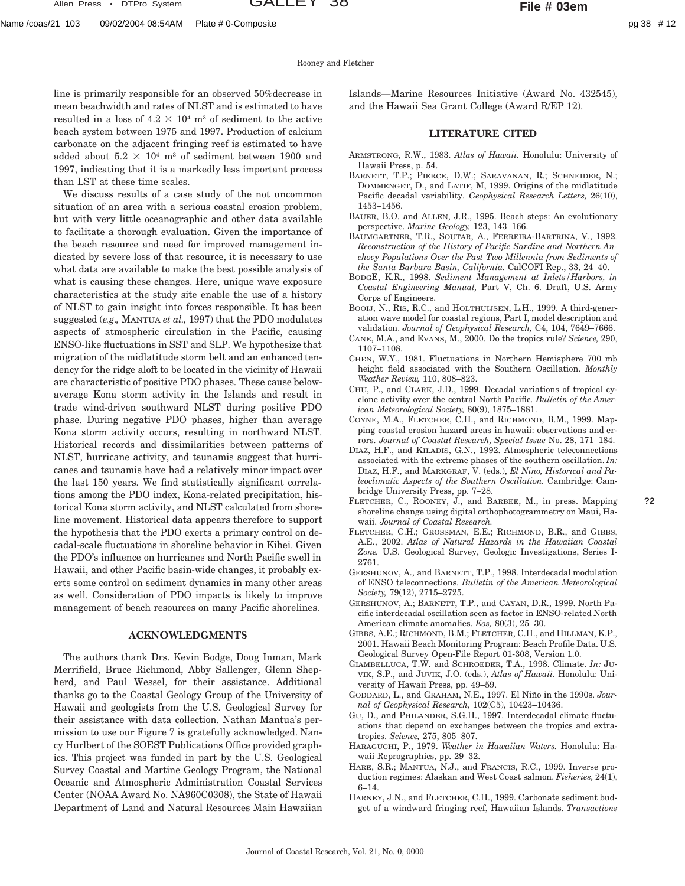**?2**

line is primarily responsible for an observed 50%decrease in mean beachwidth and rates of NLST and is estimated to have resulted in a loss of  $4.2 \times 10^4$  m<sup>3</sup> of sediment to the active beach system between 1975 and 1997. Production of calcium carbonate on the adjacent fringing reef is estimated to have added about  $5.2 \times 10^4$  m<sup>3</sup> of sediment between 1900 and 1997, indicating that it is a markedly less important process than LST at these time scales.

We discuss results of a case study of the not uncommon situation of an area with a serious coastal erosion problem, but with very little oceanographic and other data available to facilitate a thorough evaluation. Given the importance of the beach resource and need for improved management indicated by severe loss of that resource, it is necessary to use what data are available to make the best possible analysis of what is causing these changes. Here, unique wave exposure characteristics at the study site enable the use of a history of NLST to gain insight into forces responsible. It has been suggested (*e.g.,* MANTUA *et al.,* 1997) that the PDO modulates aspects of atmospheric circulation in the Pacific, causing ENSO-like fluctuations in SST and SLP. We hypothesize that migration of the midlatitude storm belt and an enhanced tendency for the ridge aloft to be located in the vicinity of Hawaii are characteristic of positive PDO phases. These cause belowaverage Kona storm activity in the Islands and result in trade wind-driven southward NLST during positive PDO phase. During negative PDO phases, higher than average Kona storm activity occurs, resulting in northward NLST. Historical records and dissimilarities between patterns of NLST, hurricane activity, and tsunamis suggest that hurricanes and tsunamis have had a relatively minor impact over the last 150 years. We find statistically significant correlations among the PDO index, Kona-related precipitation, historical Kona storm activity, and NLST calculated from shoreline movement. Historical data appears therefore to support the hypothesis that the PDO exerts a primary control on decadal-scale fluctuations in shoreline behavior in Kihei. Given the PDO's influence on hurricanes and North Pacific swell in Hawaii, and other Pacific basin-wide changes, it probably exerts some control on sediment dynamics in many other areas as well. Consideration of PDO impacts is likely to improve management of beach resources on many Pacific shorelines.

## **ACKNOWLEDGMENTS**

The authors thank Drs. Kevin Bodge, Doug Inman, Mark Merrifield, Bruce Richmond, Abby Sallenger, Glenn Shepherd, and Paul Wessel, for their assistance. Additional thanks go to the Coastal Geology Group of the University of Hawaii and geologists from the U.S. Geological Survey for their assistance with data collection. Nathan Mantua's permission to use our Figure 7 is gratefully acknowledged. Nancy Hurlbert of the SOEST Publications Office provided graphics. This project was funded in part by the U.S. Geological Survey Coastal and Martine Geology Program, the National Oceanic and Atmospheric Administration Coastal Services Center (NOAA Award No. NA960C0308), the State of Hawaii Department of Land and Natural Resources Main Hawaiian

Islands—Marine Resources Initiative (Award No. 432545), and the Hawaii Sea Grant College (Award R/EP 12).

## **LITERATURE CITED**

- ARMSTRONG, R.W., 1983. *Atlas of Hawaii.* Honolulu: University of Hawaii Press, p. 54.
- BARNETT, T.P.; PIERCE, D.W.; SARAVANAN, R.; SCHNEIDER, N.; DOMMENGET, D., and LATIF, M, 1999. Origins of the midlatitude Pacific decadal variability. *Geophysical Research Letters,* 26(10), 1453–1456.
- BAUER, B.O. and ALLEN, J.R., 1995. Beach steps: An evolutionary perspective. *Marine Geology,* 123, 143–166.
- BAUMGARTNER, T.R., SOUTAR, A., FERREIRA-BARTRINA, V., 1992. *Reconstruction of the History of Pacific Sardine and Northern Anchovy Populations Over the Past Two Millennia from Sediments of the Santa Barbara Basin, California.* CalCOFI Rep., 33, 24–40.
- BODGE, K.R., 1998. *Sediment Management at Inlets/Harbors, in Coastal Engineering Manual,* Part V, Ch. 6. Draft, U.S. Army Corps of Engineers.
- BOOIJ, N., RIS, R.C., and HOLTHUIJSEN, L.H., 1999. A third-generation wave model for coastal regions, Part I, model description and validation. *Journal of Geophysical Research,* C4, 104, 7649–7666.
- CANE, M.A., and EVANS, M., 2000. Do the tropics rule? *Science,* 290, 1107–1108.
- CHEN, W.Y., 1981. Fluctuations in Northern Hemisphere 700 mb height field associated with the Southern Oscillation. *Monthly Weather Review,* 110, 808–823.
- CHU, P., and CLARK, J.D., 1999. Decadal variations of tropical cyclone activity over the central North Pacific. *Bulletin of the American Meteorological Society,* 80(9), 1875–1881.
- COYNE, M.A., FLETCHER, C.H., and RICHMOND, B.M., 1999. Mapping coastal erosion hazard areas in hawaii: observations and errors. *Journal of Coastal Research, Special Issue* No. 28, 171–184.
- DIAZ, H.F., and KILADIS, G.N., 1992. Atmospheric teleconnections associated with the extreme phases of the southern oscillation. *In:* DIAZ, H.F., and MARKGRAF, V. (eds.), *El Nino, Historical and Paleoclimatic Aspects of the Southern Oscillation.* Cambridge: Cambridge University Press, pp. 7–28.
- FLETCHER, C., ROONEY, J., and BARBEE, M., in press. Mapping shoreline change using digital orthophotogrammetry on Maui, Hawaii. *Journal of Coastal Research.*
- FLETCHER, C.H.; GROSSMAN, E.E.; RICHMOND, B.R., and GIBBS, A.E., 2002. *Atlas of Natural Hazards in the Hawaiian Coastal Zone.* U.S. Geological Survey, Geologic Investigations, Series I-2761.
- GERSHUNOV, A., and BARNETT, T.P., 1998. Interdecadal modulation of ENSO teleconnections. *Bulletin of the American Meteorological Society,* 79(12), 2715–2725.
- GERSHUNOV, A.; BARNETT, T.P., and CAYAN, D.R., 1999. North Pacific interdecadal oscillation seen as factor in ENSO-related North American climate anomalies. *Eos,* 80(3), 25–30.
- GIBBS, A.E.; RICHMOND, B.M.; FLETCHER, C.H., and HILLMAN, K.P., 2001. Hawaii Beach Monitoring Program: Beach Profile Data. U.S. Geological Survey Open-File Report 01-308, Version 1.0.
- GIAMBELLUCA, T.W. and SCHROEDER, T.A., 1998. Climate. *In:* JU-VIK, S.P., and JUVIK, J.O. (eds.), *Atlas of Hawaii.* Honolulu: University of Hawaii Press, pp. 49–59.
- GODDARD, L., and GRAHAM, N.E., 1997. El Niño in the 1990s. Jour*nal of Geophysical Research,* 102(C5), 10423–10436.
- GU, D., and PHILANDER, S.G.H., 1997. Interdecadal climate fluctuations that depend on exchanges between the tropics and extratropics. *Science,* 275, 805–807.
- HARAGUCHI, P., 1979. *Weather in Hawaiian Waters.* Honolulu: Hawaii Reprographics, pp. 29–32.
- HARE, S.R.; MANTUA, N.J., and FRANCIS, R.C., 1999. Inverse production regimes: Alaskan and West Coast salmon. *Fisheries,* 24(1), 6–14.
- HARNEY, J.N., and FLETCHER, C.H., 1999. Carbonate sediment budget of a windward fringing reef, Hawaiian Islands. *Transactions*